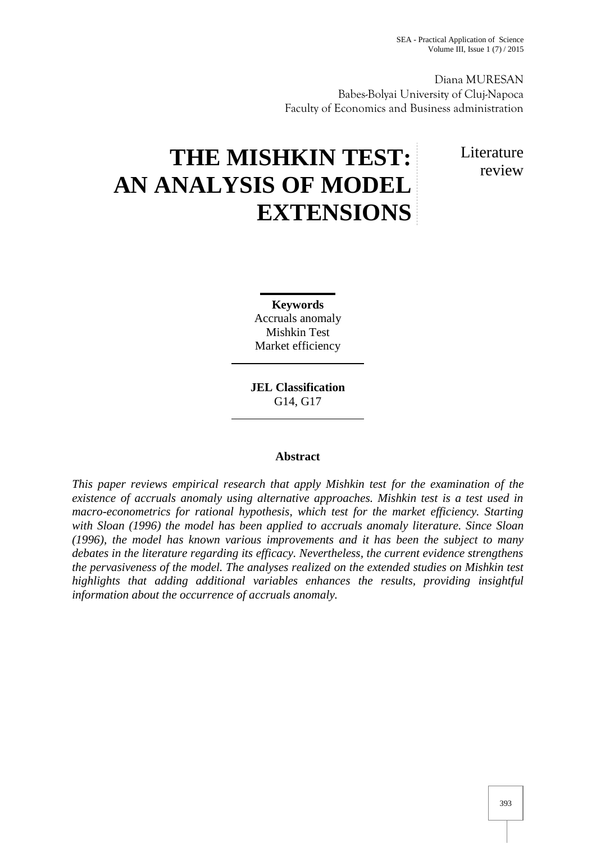Diana MURESAN Babes-Bolyai University of Cluj-Napoca Faculty of Economics and Business administration

# **THE MISHKIN TEST: AN ANALYSIS OF MODEL EXTENSIONS**

Literature review

**Keywords** Accruals anomaly Mishkin Test Market efficiency

**JEL Classification** G14, G17

# **Abstract**

*This paper reviews empirical research that apply Mishkin test for the examination of the existence of accruals anomaly using alternative approaches. Mishkin test is a test used in macro-econometrics for rational hypothesis, which test for the market efficiency. Starting with Sloan (1996) the model has been applied to accruals anomaly literature. Since Sloan (1996), the model has known various improvements and it has been the subject to many debates in the literature regarding its efficacy. Nevertheless, the current evidence strengthens the pervasiveness of the model. The analyses realized on the extended studies on Mishkin test highlights that adding additional variables enhances the results, providing insightful information about the occurrence of accruals anomaly.*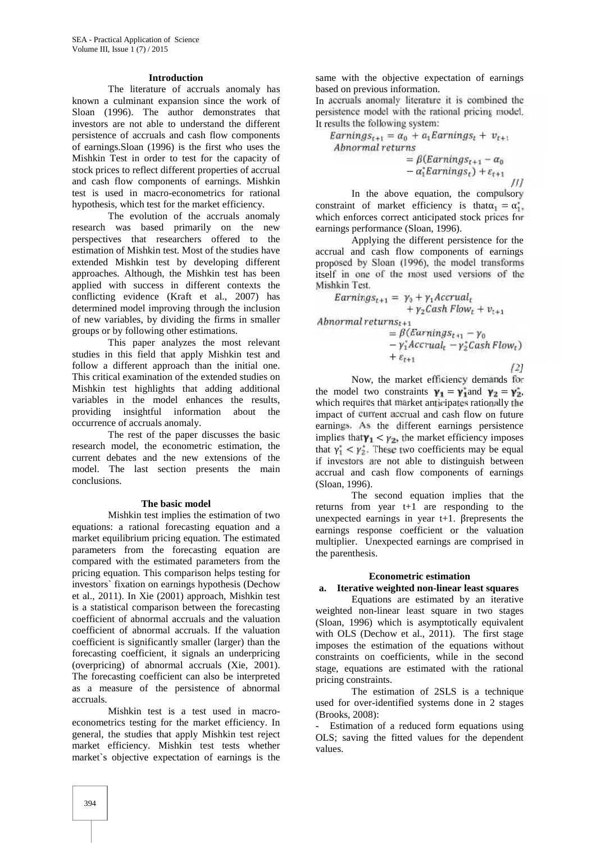## **Introduction**

The literature of accruals anomaly has known a culminant expansion since the work of Sloan (1996). The author demonstrates that investors are not able to understand the different persistence of accruals and cash flow components of earnings.Sloan (1996) is the first who uses the Mishkin Test in order to test for the capacity of stock prices to reflect different properties of accrual and cash flow components of earnings. Mishkin test is used in macro-econometrics for rational hypothesis, which test for the market efficiency.

The evolution of the accruals anomaly research was based primarily on the new perspectives that researchers offered to the estimation of Mishkin test. Most of the studies have extended Mishkin test by developing different approaches. Although, the Mishkin test has been applied with success in different contexts the conflicting evidence (Kraft et al., 2007) has determined model improving through the inclusion of new variables, by dividing the firms in smaller groups or by following other estimations.

This paper analyzes the most relevant studies in this field that apply Mishkin test and follow a different approach than the initial one. This critical examination of the extended studies on Mishkin test highlights that adding additional variables in the model enhances the results, providing insightful information about the occurrence of accruals anomaly.

The rest of the paper discusses the basic research model, the econometric estimation, the current debates and the new extensions of the model. The last section presents the main conclusions.

## **The basic model**

Mishkin test implies the estimation of two equations: a rational forecasting equation and a market equilibrium pricing equation. The estimated parameters from the forecasting equation are compared with the estimated parameters from the pricing equation. This comparison helps testing for investors` fixation on earnings hypothesis (Dechow et al., 2011). In Xie (2001) approach, Mishkin test is a statistical comparison between the forecasting coefficient of abnormal accruals and the valuation coefficient of abnormal accruals. If the valuation coefficient is significantly smaller (larger) than the forecasting coefficient, it signals an underpricing (overpricing) of abnormal accruals (Xie, 2001). The forecasting coefficient can also be interpreted as a measure of the persistence of abnormal accruals.

Mishkin test is a test used in macro econometrics testing for the market efficiency. In general, the studies that apply Mishkin test reject market efficiency. Mishkin test tests whether market`s objective expectation of earnings is the

same with the objective expectation of earnings based on previous information.

In accruals anomaly literature it is combined the persistence model with the rational pricing model. It results the following system:

Earnings<sub>t+1</sub> =  $\alpha_0$  +  $a_1$ Earnings<sub>t</sub> +  $v_{t+1}$ <br>Abnormal returns  $= \beta$ (Earnings<sub>t+1</sub> –  $\alpha_0$ 

 $- a_1^* Earnings_t) + \varepsilon_{t+1}$ 

In the above equation, the compulsory constraint of market efficiency is that  $\alpha_1 = \alpha_1^*$ , which enforces correct anticipated stock prices for earnings performance (Sloan, 1996).

Applying the different persistence for the accrual and cash flow components of earnings proposed by Sloan (1996), the model transforms itself in one of the most used versions of the Mishkin Test.

$$
EarningS_{t+1} = \gamma_0 + \gamma_1 Accrual_t
$$
  
+  $\gamma_2 Cash Flow_t + v_{t+1}$ 

$$
Abnormal \ returns_{t+1}
$$

$$
= \beta \left( Earnings_{t+1} - \gamma_0 \right. \\ - \gamma_1^* Accrual_t - \gamma_2^* Cash Flow_t \right) \\ + \varepsilon_{t+1}
$$

*[2]*

*[1]*

Now, the market efficiency demands for the model two constraints  $\mathbf{v}_1 = \mathbf{v}_1$  and  $\mathbf{v}_2 = \mathbf{v}_2$ , which requires that market anticipates rationally the impact of current accrual and cash flow on future earnings. As the different earnings persistence implies that  $y_1 < y_2$ , the market efficiency imposes that  $\gamma_1 < \gamma_2$ . These two coefficients may be equal if investors are not able to distinguish between accrual and cash flow components of earnings (Sloan, 1996).

The second equation implies that the returns from year t+1 are responding to the unexpected earnings in year t+1. βrepresents the earnings response coefficient or the valuation multiplier. Unexpected earnings are comprised in the parenthesis.

## **Econometric estimation**

## **a. Iterative weighted non-linear least squares**

Equations are estimated by an iterative weighted non-linear least square in two stages (Sloan, 1996) which is asymptotically equivalent with OLS (Dechow et al., 2011). The first stage imposes the estimation of the equations without constraints on coefficients, while in the second stage, equations are estimated with the rational pricing constraints.

The estimation of 2SLS is a technique used for over-identified systems done in 2 stages (Brooks, 2008):

Estimation of a reduced form equations using OLS; saving the fitted values for the dependent values.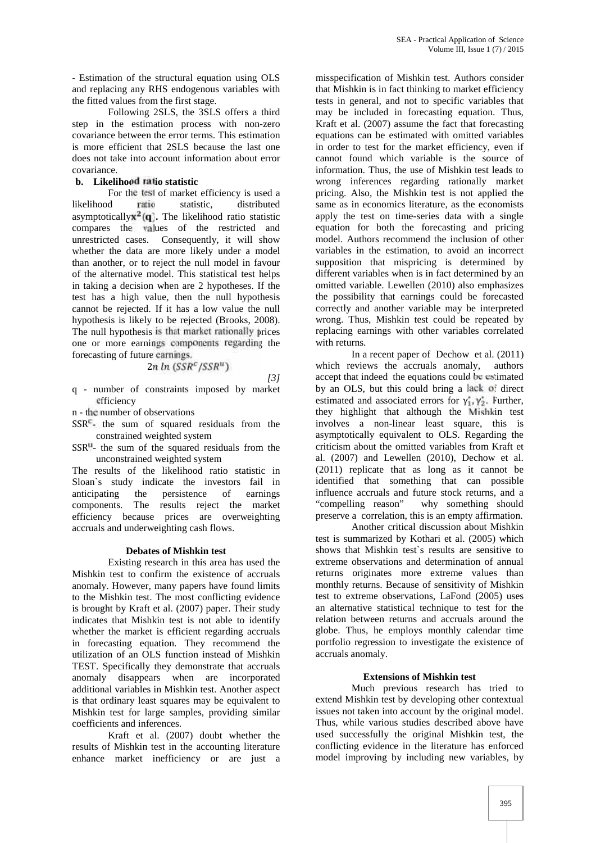- Estimation of the structural equation using OLS and replacing any RHS endogenous variables with the fitted values from the first stage.

Following 2SLS, the 3SLS offers a third step in the estimation process with non-zero covariance between the error terms. This estimation is more efficient that 2SLS because the last one does not take into account information about error covariance.

# **b. Likelihood ratio statistic**

For the test of market efficiency is used a likelihood ratio statistic, distributed asymptotically  $\mathbf{x}^2(\mathbf{q})$ . The likelihood ratio statistic compares the values of the restricted and unrestricted cases. Consequently, it will show whether the data are more likely under a model than another, or to reject the null model in favour of the alternative model. This statistical test helps in taking a decision when are 2 hypotheses. If the test has a high value, then the null hypothesis cannot be rejected. If it has a low value the null hypothesis is likely to be rejected (Brooks, 2008). The null hypothesis is that market rationally prices one or more earnings components regarding the forecasting of future earnings.

$$
2n\ln\left(SSR^c/SSR^u\right)
$$

$$
131
$$

- q number of constraints imposed by market efficiency
- n the number of observations
- $SSR<sup>c</sup>$  the sum of squared residuals from the constrained weighted system
- $SSR<sup>u</sup>$  the sum of the squared residuals from the unconstrained weighted system

The results of the likelihood ratio statistic in Sloan`s study indicate the investors fail in anticipating the persistence of earnings components. The results reject the market efficiency because prices are overweighting accruals and underweighting cash flows.

## **Debates of Mishkin test**

Existing research in this area has used the Mishkin test to confirm the existence of accruals anomaly. However, many papers have found limits to the Mishkin test. The most conflicting evidence is brought by Kraft et al. (2007) paper. Their study indicates that Mishkin test is not able to identify whether the market is efficient regarding accruals in forecasting equation. They recommend the utilization of an OLS function instead of Mishkin TEST. Specifically they demonstrate that accruals anomaly disappears when are incorporated additional variables in Mishkin test. Another aspect is that ordinary least squares may be equivalent to Mishkin test for large samples, providing similar coefficients and inferences.

Kraft et al. (2007) doubt whether the results of Mishkin test in the accounting literature enhance market inefficiency or are just a

misspecification of Mishkin test. Authors consider that Mishkin is in fact thinking to market efficiency tests in general, and not to specific variables that may be included in forecasting equation. Thus, Kraft et al. (2007) assume the fact that forecasting equations can be estimated with omitted variables in order to test for the market efficiency, even if cannot found which variable is the source of information. Thus, the use of Mishkin test leads to wrong inferences regarding rationally market pricing. Also, the Mishkin test is not applied the same as in economics literature, as the economists apply the test on time-series data with a single equation for both the forecasting and pricing model. Authors recommend the inclusion of other variables in the estimation, to avoid an incorrect supposition that mispricing is determined by different variables when is in fact determined by an omitted variable. Lewellen (2010) also emphasizes the possibility that earnings could be forecasted correctly and another variable may be interpreted wrong. Thus, Mishkin test could be repeated by replacing earnings with other variables correlated with returns.

In a recent paper of Dechow et al. (2011) which reviews the accruals anomaly, authors accept that indeed the equations could be estimated by an OLS, but this could bring a lack of direct estimated and associated errors for  $\gamma_1, \gamma_2$ . Further, they highlight that although the Mishkin test involves a non-linear least square, this is asymptotically equivalent to OLS. Regarding the criticism about the omitted variables from Kraft et al. (2007) and Lewellen (2010), Dechow et al. (2011) replicate that as long as it cannot be identified that something that can possible influence accruals and future stock returns, and a "compelling reason" why something should preserve a correlation, this is an empty affirmation.

Another critical discussion about Mishkin test is summarized by Kothari et al. (2005) which shows that Mishkin test`s results are sensitive to extreme observations and determination of annual returns originates more extreme values than monthly returns. Because of sensitivity of Mishkin test to extreme observations, LaFond (2005) uses an alternative statistical technique to test for the relation between returns and accruals around the globe. Thus, he employs monthly calendar time portfolio regression to investigate the existence of accruals anomaly.

## **Extensions of Mishkin test**

Much previous research has tried to extend Mishkin test by developing other contextual issues not taken into account by the original model. Thus, while various studies described above have used successfully the original Mishkin test, the conflicting evidence in the literature has enforced model improving by including new variables, by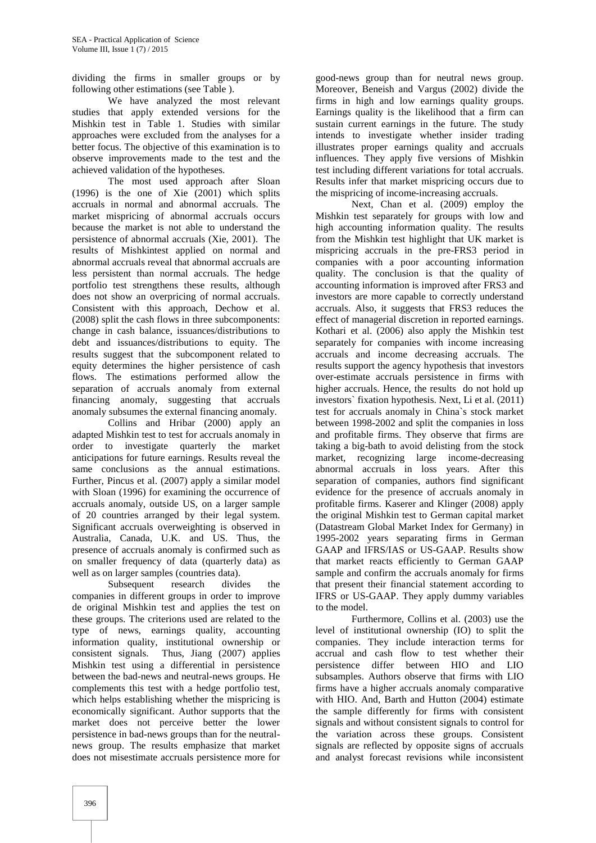dividing the firms in smaller groups or by following other estimations (see Table ).

We have analyzed the most relevant studies that apply extended versions for the Mishkin test in Table 1. Studies with similar approaches were excluded from the analyses for a better focus. The objective of this examination is to observe improvements made to the test and the achieved validation of the hypotheses.

The most used approach after Sloan (1996) is the one of Xie (2001) which splits accruals in normal and abnormal accruals. The market mispricing of abnormal accruals occurs because the market is not able to understand the persistence of abnormal accruals (Xie, 2001). The results of Mishkintest applied on normal and abnormal accruals reveal that abnormal accruals are less persistent than normal accruals. The hedge portfolio test strengthens these results, although does not show an overpricing of normal accruals. Consistent with this approach, Dechow et al. (2008) split the cash flows in three subcomponents: change in cash balance, issuances/distributions to debt and issuances/distributions to equity. The results suggest that the subcomponent related to equity determines the higher persistence of cash flows. The estimations performed allow the separation of accruals anomaly from external financing anomaly, suggesting that accruals anomaly subsumes the external financing anomaly.

Collins and Hribar (2000) apply an adapted Mishkin test to test for accruals anomaly in order to investigate quarterly the market anticipations for future earnings. Results reveal the same conclusions as the annual estimations. Further, Pincus et al. (2007) apply a similar model with Sloan (1996) for examining the occurrence of accruals anomaly, outside US, on a larger sample of 20 countries arranged by their legal system. Significant accruals overweighting is observed in Australia, Canada, U.K. and US. Thus, the presence of accruals anomaly is confirmed such as on smaller frequency of data (quarterly data) as well as on larger samples (countries data).

Subsequent research divides the companies in different groups in order to improve de original Mishkin test and applies the test on these groups. The criterions used are related to the type of news, earnings quality, accounting information quality, institutional ownership or consistent signals. Thus, Jiang (2007) applies Mishkin test using a differential in persistence between the bad-news and neutral-news groups. He complements this test with a hedge portfolio test, which helps establishing whether the mispricing is economically significant. Author supports that the market does not perceive better the lower persistence in bad-news groups than for the neutral news group. The results emphasize that market does not misestimate accruals persistence more for

good-news group than for neutral news group. Moreover, Beneish and Vargus (2002) divide the firms in high and low earnings quality groups. Earnings quality is the likelihood that a firm can sustain current earnings in the future. The study intends to investigate whether insider trading illustrates proper earnings quality and accruals influences. They apply five versions of Mishkin test including different variations for total accruals. Results infer that market mispricing occurs due to the mispricing of income-increasing accruals.

Next, Chan et al. (2009) employ the Mishkin test separately for groups with low and high accounting information quality. The results from the Mishkin test highlight that UK market is mispricing accruals in the pre-FRS3 period in companies with a poor accounting information quality. The conclusion is that the quality of accounting information is improved after FRS3 and investors are more capable to correctly understand accruals. Also, it suggests that FRS3 reduces the effect of managerial discretion in reported earnings. Kothari et al. (2006) also apply the Mishkin test separately for companies with income increasing accruals and income decreasing accruals. The results support the agency hypothesis that investors over-estimate accruals persistence in firms with higher accruals. Hence, the results do not hold up investors` fixation hypothesis. Next, Li et al. (2011) test for accruals anomaly in China`s stock market between 1998-2002 and split the companies in loss and profitable firms. They observe that firms are taking a big-bath to avoid delisting from the stock market, recognizing large income-decreasing abnormal accruals in loss years. After this separation of companies, authors find significant evidence for the presence of accruals anomaly in profitable firms. Kaserer and Klinger (2008) apply the original Mishkin test to German capital market (Datastream Global Market Index for Germany) in 1995-2002 years separating firms in German GAAP and IFRS/IAS or US-GAAP. Results show that market reacts efficiently to German GAAP sample and confirm the accruals anomaly for firms that present their financial statement according to IFRS or US-GAAP. They apply dummy variables to the model.

Furthermore, Collins et al. (2003) use the level of institutional ownership (IO) to split the companies. They include interaction terms for accrual and cash flow to test whether their persistence differ between HIO and LIO subsamples. Authors observe that firms with LIO firms have a higher accruals anomaly comparative with HIO. And, Barth and Hutton (2004) estimate the sample differently for firms with consistent signals and without consistent signals to control for the variation across these groups. Consistent signals are reflected by opposite signs of accruals and analyst forecast revisions while inconsistent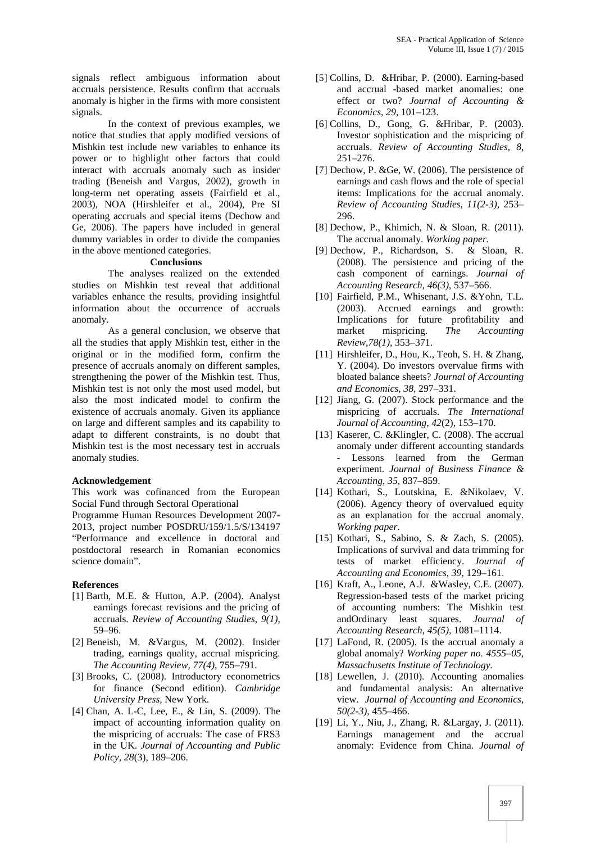signals reflect ambiguous information about accruals persistence. Results confirm that accruals anomaly is higher in the firms with more consistent signals.

In the context of previous examples, we notice that studies that apply modified versions of Mishkin test include new variables to enhance its power or to highlight other factors that could interact with accruals anomaly such as insider trading (Beneish and Vargus, 2002), growth in long-term net operating assets (Fairfield et al., 2003), NOA (Hirshleifer et al., 2004), Pre SI operating accruals and special items (Dechow and Ge, 2006). The papers have included in general dummy variables in order to divide the companies in the above mentioned categories.

## **Conclusions**

The analyses realized on the extended studies on Mishkin test reveal that additional variables enhance the results, providing insightful information about the occurrence of accruals anomaly.

As a general conclusion, we observe that all the studies that apply Mishkin test, either in the original or in the modified form, confirm the presence of accruals anomaly on different samples, strengthening the power of the Mishkin test. Thus, Mishkin test is not only the most used model, but also the most indicated model to confirm the existence of accruals anomaly. Given its appliance on large and different samples and its capability to adapt to different constraints, is no doubt that Mishkin test is the most necessary test in accruals anomaly studies.

## **Acknowledgement**

This work was cofinanced from the European Social Fund through Sectoral Operational

Programme Human Resources Development 2007- 2013, project number POSDRU/159/1.5/S/134197 "Performance and excellence in doctoral and postdoctoral research in Romanian economics science domain".

## **References**

- [1] Barth, M.E. & Hutton, A.P. (2004). Analyst earnings forecast revisions and the pricing of accruals. *Review of Accounting Studies*, *9(1),* 59–96.
- [2] Beneish, M. &Vargus, M. (2002). Insider trading, earnings quality, accrual mispricing. *The Accounting Review, 77(4),* 755–791.
- [3] Brooks, C. (2008). Introductory econometrics for finance (Second edition). *Cambridge University Press,* New York.
- [4] Chan, A. L-C, Lee, E., & Lin, S. (2009). The impact of accounting information quality on the mispricing of accruals: The case of FRS3 in the UK. *Journal of Accounting and Public Policy*, *28*(3), 189–206.
- [5] Collins, D. &Hribar, P. (2000). Earning-based and accrual -based market anomalies: one effect or two? *Journal of Accounting & Economics, 29,* 101–123.
- [6] Collins, D., Gong, G. &Hribar, P. (2003). Investor sophistication and the mispricing of accruals. *Review of Accounting Studies*, *8*, 251–276.
- [7] Dechow, P. & Ge, W.  $(2006)$ . The persistence of earnings and cash flows and the role of special items: Implications for the accrual anomaly. *Review of Accounting Studies*, *11(2-3),* 253– 296.
- [8] Dechow, P., Khimich, N. & Sloan, R. (2011). The accrual anomaly. *Working paper.*
- [9] Dechow, P., Richardson, S. & Sloan, R. (2008). The persistence and pricing of the cash component of earnings. *Journal of Accounting Research*, *46(3),* 537–566.
- [10] Fairfield, P.M., Whisenant, J.S. &Yohn, T.L. (2003). Accrued earnings and growth: Implications for future profitability and market mispricing. *The Accounting Review,78(1),* 353–371.
- [11] Hirshleifer, D., Hou, K., Teoh, S. H. & Zhang, Y. (2004). Do investors overvalue firms with bloated balance sheets? *Journal of Accounting and Economics*, *38*, 297–331.
- [12] Jiang, G. (2007). Stock performance and the mispricing of accruals. *The International Journal of Accounting*, *42*(2), 153–170.
- [13] Kaserer, C. &Klingler, C. (2008). The accrual anomaly under different accounting standards Lessons learned from the German experiment. *Journal of Business Finance & Accounting*, *35*, 837–859.
- [14] Kothari, S., Loutskina, E. &Nikolaev, V. (2006). Agency theory of overvalued equity as an explanation for the accrual anomaly. *Working paper*.
- [15] Kothari, S., Sabino, S. & Zach, S. (2005). Implications of survival and data trimming for tests of market efficiency. *Journal of Accounting and Economics, 39,* 129–161.
- [16] Kraft, A., Leone, A.J. &Wasley, C.E. (2007). Regression-based tests of the market pricing of accounting numbers: The Mishkin test andOrdinary least squares. *Journal of Accounting Research*, *45(5),* 1081–1114.
- [17] LaFond, R. (2005). Is the accrual anomaly a global anomaly? *Working paper no. 4555–05, Massachusetts Institute of Technology.*
- [18] Lewellen, J. (2010). Accounting anomalies and fundamental analysis: An alternative view. *Journal of Accounting and Economics*, *50(2-3),* 455–466.
- [19] Li, Y., Niu, J., Zhang, R. &Largay, J. (2011). Earnings management and the accrual anomaly: Evidence from China. *Journal of*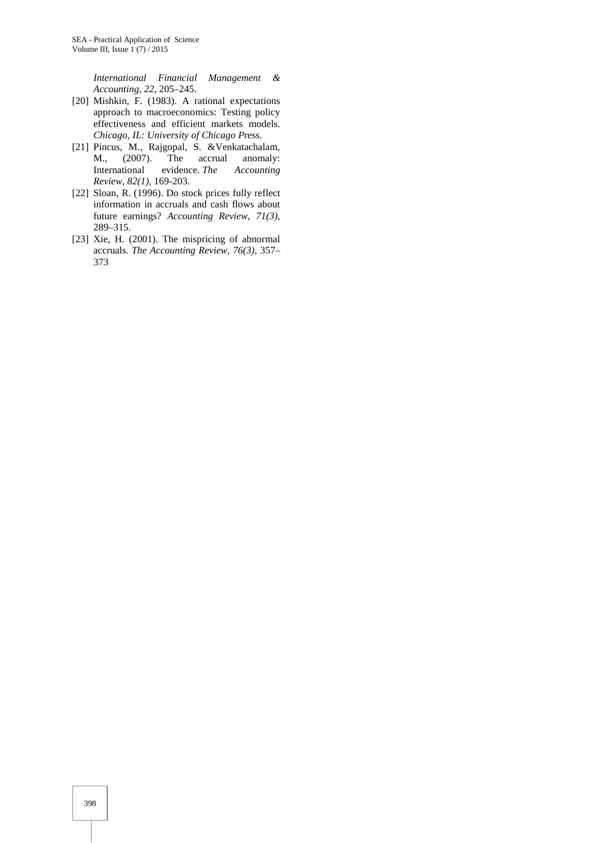*International Financial Management & Accounting*, *22*, 205–245.

- [20] Mishkin, F. (1983). A rational expectations approach to macroeconomics: Testing policy effectiveness and efficient markets models. *Chicago, IL: University of Chicago P*ress.
- [21] Pincus, M., Rajgopal, S. &Venkatachalam, M., (2007). The accrual anomaly: M., (2007). The accrual anomaly:<br>International evidence. The Accounting evidence. *The* Accounting *Review*, *82(1),* 169-203.
- [22] Sloan, R. (1996). Do stock prices fully reflect information in accruals and cash flows about future earnings? *Accounting Review*, *71(3),* 289–315.
- [23] Xie, H. (2001). The mispricing of abnormal accruals. *The Accounting Review*, *76(3),* 357– 373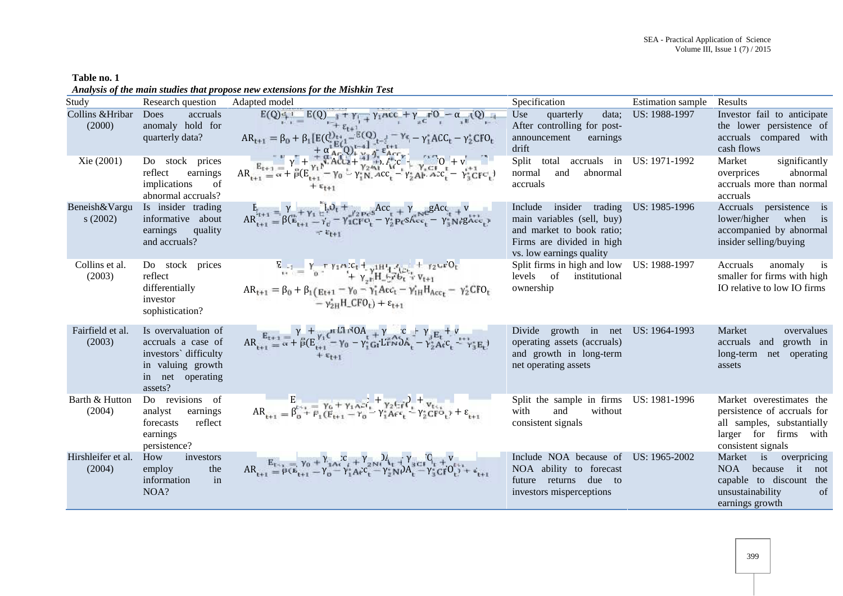**Table no. 1** *Analysis of the main studies that propose new extensions for the Mishkin Test*

| renacjowy of the main staates that propose hen extensions for the heisting Eest |                                                                                                                        |                                                                                                                                                                                                                                                                                                                                                                                                                                                                                                                                                                                                                                                                     |                                                                                                                                                |                           |                                                                                                                                      |  |  |
|---------------------------------------------------------------------------------|------------------------------------------------------------------------------------------------------------------------|---------------------------------------------------------------------------------------------------------------------------------------------------------------------------------------------------------------------------------------------------------------------------------------------------------------------------------------------------------------------------------------------------------------------------------------------------------------------------------------------------------------------------------------------------------------------------------------------------------------------------------------------------------------------|------------------------------------------------------------------------------------------------------------------------------------------------|---------------------------|--------------------------------------------------------------------------------------------------------------------------------------|--|--|
| Study                                                                           | Research question                                                                                                      | Adapted model                                                                                                                                                                                                                                                                                                                                                                                                                                                                                                                                                                                                                                                       | Specification                                                                                                                                  | <b>Estimation</b> sample  | Results                                                                                                                              |  |  |
| Collins & Hribar Does                                                           | accruals                                                                                                               |                                                                                                                                                                                                                                                                                                                                                                                                                                                                                                                                                                                                                                                                     | Use<br>quarterly<br>data;                                                                                                                      | US: 1988-1997             | Investor fail to anticipate                                                                                                          |  |  |
| (2000)                                                                          | anomaly hold for<br>quarterly data?                                                                                    | $E(Q)$ <sub>1</sub> = $E(Q)$ <sub>1</sub> + $\gamma$ <sub>1</sub> + $\gamma$ <sub>1</sub> + $\gamma$ <sub>1</sub> + $\gamma$ <sub>2</sub> + $\gamma$ <sub>2</sub> + $\gamma$ <sub>2</sub> + $\gamma$ <sub>2</sub> + $\gamma$ <sub>3</sub> + $\gamma$ <sub>3</sub> + $\gamma$ <sub>3</sub> + $\gamma$ <sub>3</sub> + $\gamma$ <sub>3</sub> + $\gamma$ <sub>3</sub> + $\gamma$ <sub>3</sub> + $\gamma$ <sub>3</sub> + $\gamma$ <sub>3</sub> + $\gamma$ <sub>3</sub> + $\gamma$ <sub>3</sub> + $\gamma$ <sub>3</sub> + $\gamma$ <sub>3</sub> +<br>$AR_{t+1} = \beta_0 + \beta_1 [E(Q_{t+1}^{t}) - E(Q_{t-1}^{t}) - \gamma_0 - \gamma_1^* A C C_t - \gamma_2^* C FQ_t]$ | After controlling for post-<br>earnings<br>announcement<br>drift                                                                               |                           | the lower persistence of<br>accruals compared with<br>cash flows                                                                     |  |  |
| Xie (2001)                                                                      | Do stock prices<br>reflect<br>earnings<br>implications<br>of<br>abnormal accruals?                                     | $AR_{t+1} = \alpha + \beta (E_{t+1}^{y} - \gamma_0 - \gamma_1^2) R_{t+1}^{x+1} + \gamma_2 \lambda_1^2 C_{t}^{y} + \gamma_3 C_{t}^{y} + \gamma_4 C_{t}^{y} + \gamma_5 C_{t}^{y} + \gamma_6^2 C_{t}^{y} + \gamma_7 C_{t}^{y} + \gamma_7 C_{t}^{y} + \gamma_7 C_{t}^{y} + \gamma_7 C_{t}^{y} + \gamma_7 C_{t}^{y} + \gamma_7 C_{t}^{y} + \gamma_7 C_{t}^{y} + \gamma_7 C_{t}^{y} + \gamma_7 C_{t}^{$                                                                                                                                                                                                                                                                   | Split<br>total<br>abnormal<br>normal<br>and<br>accruals                                                                                        | accruals in US: 1971-1992 | significantly<br>Market<br>abnormal<br>overprices<br>accruals more than normal<br>accruals                                           |  |  |
| Beneish&Vargu<br>s(2002)                                                        | Is insider trading<br>informative about<br>quality<br>earnings<br>and accruals?                                        | $A R_{t+1}^{E_{t+1}} = \beta (\overset{p}{E_{t+1}} + \gamma_t \overset{p}{\underset{p}{E_{t+1}}} - \gamma_e - \gamma_t \overset{p}{\underset{p}{E_{t+1}}} + \gamma_2 \overset{p}{\underset{p}{P}e^{S}} \overset{Acc}{\underset{p}{E_{t}}} + \gamma \overset{p}{\underset{p}{E_{t}}} \overset{gAcc}{\underset{p}{E_{t}}} + \frac{v}{\gamma}$                                                                                                                                                                                                                                                                                                                         | insider trading<br>Include<br>main variables (sell, buy)<br>and market to book ratio;<br>Firms are divided in high<br>vs. low earnings quality | US: 1985-1996             | Accruals persistence is<br>lower/higher when<br>$\frac{1}{1}$<br>accompanied by abnormal<br>insider selling/buying                   |  |  |
| Collins et al.<br>(2003)                                                        | Do stock prices<br>reflect<br>differentially<br>investor<br>sophistication?                                            | $\frac{E_{t+1}}{t+1} = \frac{\gamma - \tau \gamma_1 \alpha_1 c_1 + \gamma_1 H^4 \gamma_1 c_{t+1}}{1 + \gamma_2 H^4 \gamma_1 H^4 \gamma_1 c_{t+1}} + \frac{\gamma_2 \alpha_1 \alpha_1 C_1}{1 + \gamma_2 H^4 \gamma_1 c_{t+1}}$<br>$AR_{t+1} = \beta_0 + \beta_1 (E_{t+1} - \gamma_0 - \gamma_1^* A c c_t - \gamma_{1H}^* H_{Acc_t} - \gamma_2^* C F O_t$<br>$-\gamma_{2H}^*$ H_CFO <sub>t</sub> $)+\epsilon_{t+1}$                                                                                                                                                                                                                                                   | Split firms in high and low US: 1988-1997<br>levels of institutional<br>ownership                                                              |                           | Accruals<br>anomaly is<br>smaller for firms with high<br>IO relative to low IO firms                                                 |  |  |
| Fairfield et al.<br>(2003)                                                      | Is overvaluation of<br>accruals a case of<br>investors' difficulty<br>in valuing growth<br>in net operating<br>assets? | $AR_{t+1} = \frac{\gamma}{\alpha} + \frac{\gamma}{\beta} (E_{t+1}^{\gamma_1} - \gamma_0 - \gamma_1^c G_t L^T N \delta A_t^+ - \gamma_2^c E_t^+ + \frac{\gamma}{\gamma_2^c} E_t^+ + \frac{\gamma}{\gamma_3^c} E_t^+)$                                                                                                                                                                                                                                                                                                                                                                                                                                                | Divide growth in net<br>operating assets (accruals)<br>and growth in long-term<br>net operating assets                                         | US: 1964-1993             | Market<br>overvalues<br>accruals and growth in<br>long-term net operating<br>assets                                                  |  |  |
| Barth & Hutton<br>(2004)                                                        | Do revisions of<br>earnings<br>analyst<br>reflect<br>forecasts<br>earnings<br>persistence?                             | $AR_{t+1} = \beta_0^{t+1} + \beta_1 (E_{t+1} - \gamma_0 - \gamma_1^* A e_t^t + \gamma_2 E_t^t e_t^t) + \epsilon_{t+1}$                                                                                                                                                                                                                                                                                                                                                                                                                                                                                                                                              | Split the sample in firms US: 1981-1996<br>without<br>with<br>and<br>consistent signals                                                        |                           | Market overestimates the<br>persistence of accruals for<br>all samples, substantially<br>larger for firms with<br>consistent signals |  |  |
| Hirshleifer et al.<br>(2004)                                                    | How<br>investors<br>the<br>employ<br>in<br>information<br>NOA?                                                         | $AR_{t+1} = \frac{E_{t+1}}{\rho(E_{t+1} - \gamma_0 - \gamma_1^* A_t^c C_t^c - \gamma_2^* N) A_t + \gamma_3^c C_t C_t^c + V_{t+1}^c}{\rho(E_{t+1} - \gamma_0 - \gamma_1^* A_t^c C_t^c - \gamma_2^* N) A_t^c - \gamma_3^* C_t^c C_t^c + \epsilon_{t+1}^c}$                                                                                                                                                                                                                                                                                                                                                                                                            | Include NOA because of<br>NOA ability to forecast<br>future returns due to<br>investors misperceptions                                         | US: 1965-2002             | Market is overpricing<br>because it not<br>NOA<br>capable to discount the<br>unsustainability<br>of<br>earnings growth               |  |  |